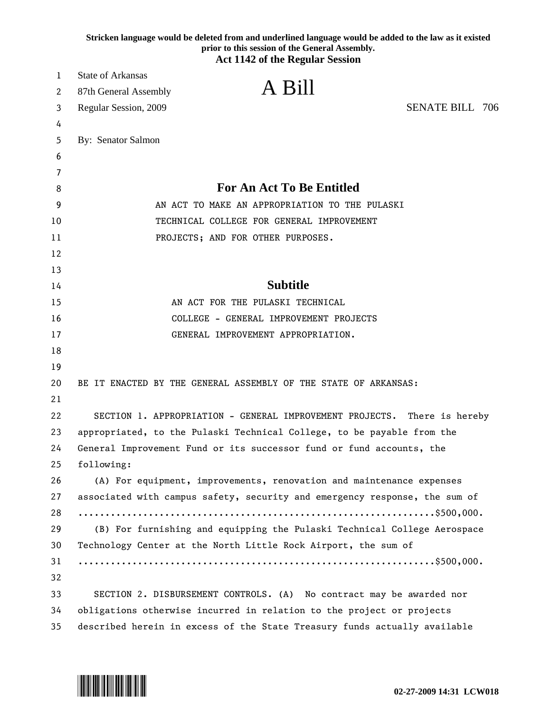| <b>State of Arkansas</b><br>1<br>A Bill<br>87th General Assembly<br>2<br><b>SENATE BILL 706</b><br>Regular Session, 2009<br>3<br>4<br>By: Senator Salmon<br>5<br>6<br>7<br><b>For An Act To Be Entitled</b><br>8<br>AN ACT TO MAKE AN APPROPRIATION TO THE PULASKI<br>9<br>TECHNICAL COLLEGE FOR GENERAL IMPROVEMENT<br>10<br>11<br>PROJECTS; AND FOR OTHER PURPOSES.<br>12<br>13<br><b>Subtitle</b><br>14<br>AN ACT FOR THE PULASKI TECHNICAL<br>15<br>16<br>COLLEGE - GENERAL IMPROVEMENT PROJECTS<br>GENERAL IMPROVEMENT APPROPRIATION.<br>17<br>18<br>19 |  |
|--------------------------------------------------------------------------------------------------------------------------------------------------------------------------------------------------------------------------------------------------------------------------------------------------------------------------------------------------------------------------------------------------------------------------------------------------------------------------------------------------------------------------------------------------------------|--|
|                                                                                                                                                                                                                                                                                                                                                                                                                                                                                                                                                              |  |
|                                                                                                                                                                                                                                                                                                                                                                                                                                                                                                                                                              |  |
|                                                                                                                                                                                                                                                                                                                                                                                                                                                                                                                                                              |  |
|                                                                                                                                                                                                                                                                                                                                                                                                                                                                                                                                                              |  |
|                                                                                                                                                                                                                                                                                                                                                                                                                                                                                                                                                              |  |
|                                                                                                                                                                                                                                                                                                                                                                                                                                                                                                                                                              |  |
|                                                                                                                                                                                                                                                                                                                                                                                                                                                                                                                                                              |  |
|                                                                                                                                                                                                                                                                                                                                                                                                                                                                                                                                                              |  |
|                                                                                                                                                                                                                                                                                                                                                                                                                                                                                                                                                              |  |
|                                                                                                                                                                                                                                                                                                                                                                                                                                                                                                                                                              |  |
|                                                                                                                                                                                                                                                                                                                                                                                                                                                                                                                                                              |  |
|                                                                                                                                                                                                                                                                                                                                                                                                                                                                                                                                                              |  |
|                                                                                                                                                                                                                                                                                                                                                                                                                                                                                                                                                              |  |
|                                                                                                                                                                                                                                                                                                                                                                                                                                                                                                                                                              |  |
|                                                                                                                                                                                                                                                                                                                                                                                                                                                                                                                                                              |  |
|                                                                                                                                                                                                                                                                                                                                                                                                                                                                                                                                                              |  |
|                                                                                                                                                                                                                                                                                                                                                                                                                                                                                                                                                              |  |
|                                                                                                                                                                                                                                                                                                                                                                                                                                                                                                                                                              |  |
|                                                                                                                                                                                                                                                                                                                                                                                                                                                                                                                                                              |  |
| 20<br>BE IT ENACTED BY THE GENERAL ASSEMBLY OF THE STATE OF ARKANSAS:                                                                                                                                                                                                                                                                                                                                                                                                                                                                                        |  |
| 21                                                                                                                                                                                                                                                                                                                                                                                                                                                                                                                                                           |  |
| 22<br>SECTION 1. APPROPRIATION - GENERAL IMPROVEMENT PROJECTS. There is hereby                                                                                                                                                                                                                                                                                                                                                                                                                                                                               |  |
| 23<br>appropriated, to the Pulaski Technical College, to be payable from the                                                                                                                                                                                                                                                                                                                                                                                                                                                                                 |  |
| 24<br>General Improvement Fund or its successor fund or fund accounts, the                                                                                                                                                                                                                                                                                                                                                                                                                                                                                   |  |
| 25<br>following:<br>26                                                                                                                                                                                                                                                                                                                                                                                                                                                                                                                                       |  |
| (A) For equipment, improvements, renovation and maintenance expenses<br>27                                                                                                                                                                                                                                                                                                                                                                                                                                                                                   |  |
| associated with campus safety, security and emergency response, the sum of<br>28                                                                                                                                                                                                                                                                                                                                                                                                                                                                             |  |
| 29<br>(B) For furnishing and equipping the Pulaski Technical College Aerospace                                                                                                                                                                                                                                                                                                                                                                                                                                                                               |  |
| 30<br>Technology Center at the North Little Rock Airport, the sum of                                                                                                                                                                                                                                                                                                                                                                                                                                                                                         |  |
| 31                                                                                                                                                                                                                                                                                                                                                                                                                                                                                                                                                           |  |
| 32                                                                                                                                                                                                                                                                                                                                                                                                                                                                                                                                                           |  |
| 33<br>SECTION 2. DISBURSEMENT CONTROLS. (A) No contract may be awarded nor                                                                                                                                                                                                                                                                                                                                                                                                                                                                                   |  |
| obligations otherwise incurred in relation to the project or projects<br>34                                                                                                                                                                                                                                                                                                                                                                                                                                                                                  |  |
| 35<br>described herein in excess of the State Treasury funds actually available                                                                                                                                                                                                                                                                                                                                                                                                                                                                              |  |